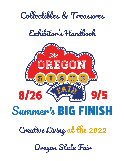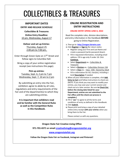# COLLECTIBLES & TREASURES

### **IMPORTANT DATES**

#### **ENTRY AND RELEASE SCHEDULE**

**Collectibles & Treasures Online Entry Deadline:** 10 pm, Wednesday, August 17

#### **Deliver and set up Entries**: Thursday, August 25 2:00 pm to 7:00 pm.

Enter through Green Gate on 17<sup>th</sup> Street and follow signs to Columbia Hall.

Bring a copy of your online registration receipt (see instructions this page).

#### **Pick up entries:**  Tuesday, Sept. 6, 2 pm to 7 pm Wednesday, Sept. 7, 10 am to 2 pm

By submitting an entry into the Fair, exhibitors agree to abide by all rules, regulations and entry requirements of the Fair and of the department(s) to which they are submitting entries.

**It is important that exhibitors read and be familiar with the General Rules as well as the Competition Rules in this Handbook.**

#### **ONLINE REGISTRATION AND ENTRY INSTRUCTIONS**

#### **ONLINE ENTRY OPENS JUNE 8, 2022**

Read the complete rules, division descriptions, and entry information in the Handbook **BEFORE** going to Online Registration.

#### **1.** Then go to **[http://oregon.fairwire.com](http://oregon.fairwire.com/)**

**2.** Click **Register** or **Sign In** (for return visits).

- Register using your First and Last Name and create a password (write password down).
- Fill in requested information, including email address. Fill in age only if under 18. Click **Continue**.
- Select **Department** ex.: Collectibles & Treasures
- Select a **Division** ex*.:* Collectibles Division 158
- Select a **Class** ex.: Class 1581 Owned by Adult
- Fill in information for ALL class(es), including a brief **Description** if needed.
- **3.** When all your information is complete, click **Add Entry to Cart** and follow instructions to check out. (NOTE: If you think you may want to modify your entries, you may save your current session and check out at a later session. Be sure **to Check Out before the closing date listed for your Department; entries are not submitted to the Fair office until the check-out process is complete.)**
- **4.** Fill in "**yes**" to agree to all the terms and conditions of entry as defined in this Handbook.
- **5.** Click **Submit**.
- **6.** Please print and bring a copy of your detailed online entry receipt **with your entries** when you bring them to the Fair.

Please contact us with any questions.

#### **Oregon State Fair Creative Living Office**

**971-701-6571 or email [creativeliving@oregonstatefair.org](mailto:creativeliving@oregonstatefair.org)**

#### **[www.oregonstatefair.org](http://www.oregonstatefair.org/)**

**Follow the Oregon State Fair on Facebook, Instagram and Pinterest!**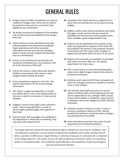## GENERAL RULES

- **1.** Oregon State Fair (OSF) competitions are open to residents of Oregon only. Entries do not need to be entered or have won at a county fair to be eligible for any competition.
- **2.** All articles must be the handiwork of the exhibitor and not been previously exhibited at the Oregon State Fair.
- **3.** Online entries must be submitted by the date indicated within each Department Handbook. Paper applications will not be accepted. Information must be accurate and complete. Walk-in entries may be accepted during intake days on a limited basis.
- **4.** Entries must be delivered and removed only during the scheduled times. Any exception shall be at the discretion of OSF staff.
- **5.** Entries will receive a claim check upon delivery. Exhibitor must present claim check or valid Oregon ID when picking up entries.
- **6.** Some competitions require an entry fee. See specific departments for fee and processing information.
- **7.** OSF staff or a judge may disqualify or transfer any exhibit which is not a true representation of the class in which it is entered or if rules are not followed.
- **8.** Judging is closed to the public unless otherwise noted. Every reasonable effort is made to secure highly qualified judges with expertise in their field.
- **9.** Entries by OSF staff and judges are prohibited in the department in which they are working. They may enter other departments.
- **10.** Volunteers who submit entries in a department in which they are working may not be present during judging.
- **11.** Ribbons and/or prizes will be awarded as warranted. All judges' results are final. Results cannot be provided over the phone but will be posted online when available. (www.oregonstatefair.org)
- **12.** Protests may be submitted to the Creative Living office accompanied by a deposit of \$25 which will be forfeited if the protest is not sustained. Protests must plainly state the cause of the complaint or appeal and submitted within 24 hours of the action.
- **13.** Ribbons and scorecards (as available) are provided with return of entries after Fair. See specific departments for return days.
- **14.** OSF is authorized to use any and all photographs, video and or digital images related to the entry for promotional purposes.
- **15.** Exhibitors shall indemnify OSF from and against all claims for damage to persons or property caused by them or their exhibits.
- **16.** OSF will take reasonable precautions to ensure safety of exhibits while on the fairgrounds, but will not be responsible for loss, damage, theft or injury of any kind to exhibits or exhibitors, unless the loss or damage is due to the negligence of OSF staff and volunteers.
- **17.** Exhibitors found in violation of rules, or to be in practices unethical or adverse to OSF, shall be penalized by forfeiture of awards and/or privileges, and removed from the exhibit.
- **18.** Items not picked up by final return days of each department are forfeited by exhibitor.

The Oregon State Fair reserves the final and absolute right to interpret any and all terms, conditions, rules and regulations contained in any and all parts of Department Handbooks and to settle and determine all matters, questions or differences in regard thereto, or otherwise arising out of, connected with or incidental to the Oregon State Fair. OSF further reserves the right to determine unforeseen matters not covered by General or Competition Rules, and to withdraw award offerings in all Competitions should any emergency exist and circumstances demand.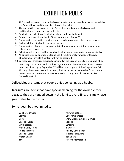## EXHIBITION RULES

- 1. All General Rules apply. Your submission indicates you have read and agree to abide by the General Rules and the specific rules of this exhibit.
- 2. These exhibition rules apply to both Collectibles and Treasures Divisions, and additional rules apply under each Division.
- 3. Entries in this exhibit are for display only and **will not be judged**.
- 4. Entrants must register online by 10 pm Wednesday, August 17.
- 5. During online registration provide a brief description of your collection or treasure.
- 6. Each exhibitor is limited to one entry per class.
- 7. During online entry process, provide a brief but complete description of what your collection or treasure is.
- 8. Exhibits must be in a condition suitable for display, and must arrive ready for display.
- 9. All entries must be appropriate for all age & family friendly viewing. Offensive, objectionable, or violent content will not be accepted.
- 10. Collections or treasures previously exhibited at the Oregon State Fair are not eligible.
- 11. Items may not be removed from the Fairgrounds until the scheduled pick-up date(s). Items not picked up by September 7<sup>th</sup> will become property of the Oregon State Fair.
- 12. Although the utmost care will be taken, the Fair cannot be responsible for accidental loss or damage. Please use your own discretion on any item of great value. See General Rule #15.

**Collectibles** are items that people enjoy collecting as a hobby.

**Treasures** are items that have special meaning for the owner, either because they are handed down in the family, a rare find, or simply have great value to the owner.

Some ideas, but not limited to:

Celebrate Oregon Stamps **Coins** Baseball Cards Vinyl Records Model Cars, Trains Fridge Magnets Baseball Cards Match Boxes Toys

Perfume Bottles Candy Dispensers Snow Globes & Glitter Domes Spoons Lanterns Ink Wells Holiday Ornaments Vintage Tableware Bookmarks Historic Memorabilia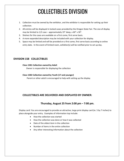### **Division** COLLECTIBLES DIVISION

- 1. Collection must be owned by the exhibitor, and the exhibitor is responsible for setting up their collection.
- 2. All entries will be displayed in locked cases provided by the Oregon State Fair. The size of display may be limited to  $1/2$  case – approximately  $19''$  deep, x  $60''$  x  $30''$ .
- 3. Shelves for the cases are available on a first come, first serve basis.
- 4. A more expanded description may be included with your collection for display.
- 5. Space may be limited and will be provided on a first come, first serve basis according to online entry date. In the event of limited room, exhibitor(s) will be notified prior to set up day.

#### **DIVISION 158 COLLECTIBLES**

#### **Class 1581 Collection owned by Adult**

Owner is responsible for displaying the collection

#### **Class 1582 Collection owned by Youth (17 and younger)**

Parent or other adult is encouraged to help with setting up the display

#### **COLLECTIBLES ARE DELIVERED AND DISPLAYED BY OWNER:**

#### **Thursday, August 25 from 2:00 pm – 7:00 pm.**

Display card: You are encouraged to provide an attractive, large print display card (ie. 5 by 7 inches) to place alongside your entry. Examples of information top include:

- How the collection was started
- How the collection was done or how it was collected
- Date of the oldest item in the collection
- Number of items in the entire collection
- Any other interesting information about the collection